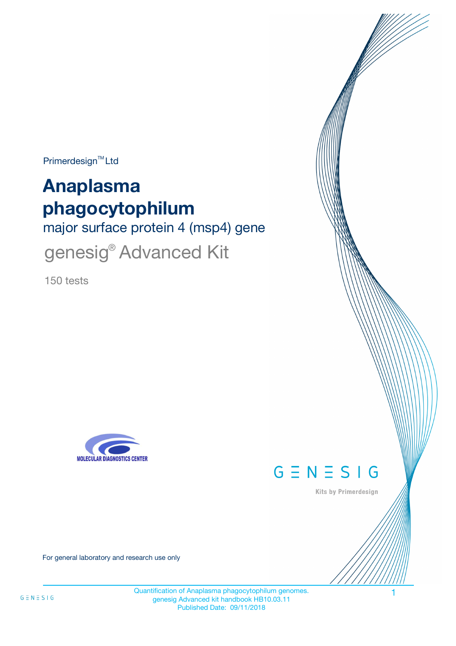$Primerdesign^{\text{TM}}$ Ltd

# **Anaplasma phagocytophilum**

major surface protein 4 (msp4) gene

genesig<sup>®</sup> Advanced Kit

150 tests





Kits by Primerdesign

For general laboratory and research use only

Quantification of Anaplasma phagocytophilum genomes. 1 genesig Advanced kit handbook HB10.03.11 Published Date: 09/11/2018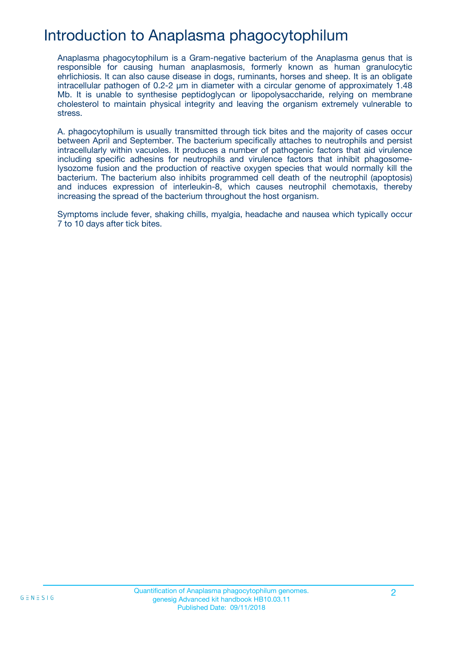# Introduction to Anaplasma phagocytophilum

Anaplasma phagocytophilum is a Gram-negative bacterium of the Anaplasma genus that is responsible for causing human anaplasmosis, formerly known as human granulocytic ehrlichiosis. It can also cause disease in dogs, ruminants, horses and sheep. It is an obligate intracellular pathogen of 0.2-2 µm in diameter with a circular genome of approximately 1.48 Mb. It is unable to synthesise peptidoglycan or lipopolysaccharide, relying on membrane cholesterol to maintain physical integrity and leaving the organism extremely vulnerable to stress.

A. phagocytophilum is usually transmitted through tick bites and the majority of cases occur between April and September. The bacterium specifically attaches to neutrophils and persist intracellularly within vacuoles. It produces a number of pathogenic factors that aid virulence including specific adhesins for neutrophils and virulence factors that inhibit phagosomelysozome fusion and the production of reactive oxygen species that would normally kill the bacterium. The bacterium also inhibits programmed cell death of the neutrophil (apoptosis) and induces expression of interleukin-8, which causes neutrophil chemotaxis, thereby increasing the spread of the bacterium throughout the host organism.

Symptoms include fever, shaking chills, myalgia, headache and nausea which typically occur 7 to 10 days after tick bites.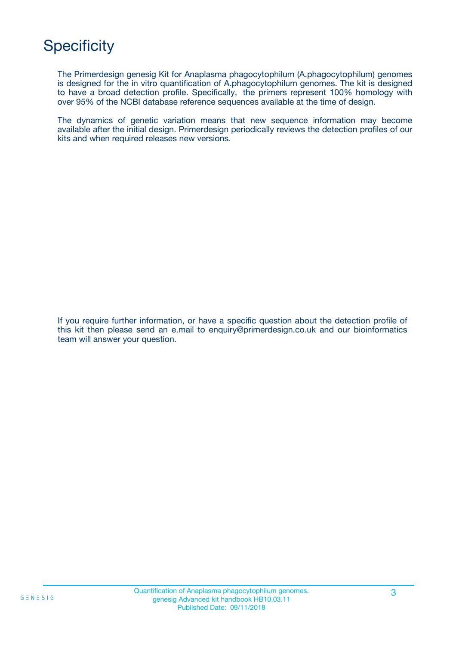# **Specificity**

The Primerdesign genesig Kit for Anaplasma phagocytophilum (A.phagocytophilum) genomes is designed for the in vitro quantification of A.phagocytophilum genomes. The kit is designed to have a broad detection profile. Specifically, the primers represent 100% homology with over 95% of the NCBI database reference sequences available at the time of design.

The dynamics of genetic variation means that new sequence information may become available after the initial design. Primerdesign periodically reviews the detection profiles of our kits and when required releases new versions.

If you require further information, or have a specific question about the detection profile of this kit then please send an e.mail to enquiry@primerdesign.co.uk and our bioinformatics team will answer your question.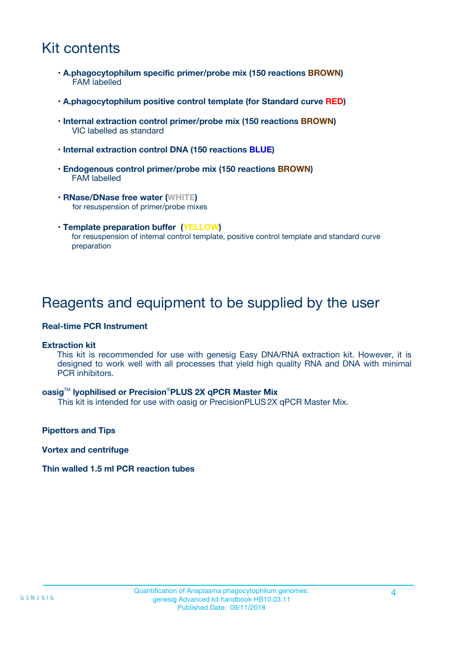# Kit contents

- **A.phagocytophilum specific primer/probe mix (150 reactions BROWN)** FAM labelled
- **A.phagocytophilum positive control template (for Standard curve RED)**
- **Internal extraction control primer/probe mix (150 reactions BROWN)** VIC labelled as standard
- **Internal extraction control DNA (150 reactions BLUE)**
- **Endogenous control primer/probe mix (150 reactions BROWN)** FAM labelled
- **RNase/DNase free water (WHITE)** for resuspension of primer/probe mixes
- **Template preparation buffer (YELLOW)** for resuspension of internal control template, positive control template and standard curve preparation

### Reagents and equipment to be supplied by the user

#### **Real-time PCR Instrument**

#### **Extraction kit**

This kit is recommended for use with genesig Easy DNA/RNA extraction kit. However, it is designed to work well with all processes that yield high quality RNA and DNA with minimal PCR inhibitors.

#### **oasig**TM **lyophilised or Precision**®**PLUS 2X qPCR Master Mix**

This kit is intended for use with oasig or PrecisionPLUS2X qPCR Master Mix.

**Pipettors and Tips**

**Vortex and centrifuge**

#### **Thin walled 1.5 ml PCR reaction tubes**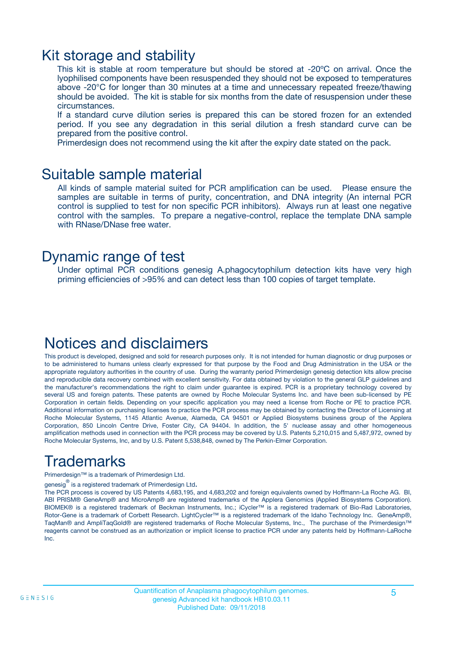### Kit storage and stability

This kit is stable at room temperature but should be stored at -20ºC on arrival. Once the lyophilised components have been resuspended they should not be exposed to temperatures above -20°C for longer than 30 minutes at a time and unnecessary repeated freeze/thawing should be avoided. The kit is stable for six months from the date of resuspension under these circumstances.

If a standard curve dilution series is prepared this can be stored frozen for an extended period. If you see any degradation in this serial dilution a fresh standard curve can be prepared from the positive control.

Primerdesign does not recommend using the kit after the expiry date stated on the pack.

### Suitable sample material

All kinds of sample material suited for PCR amplification can be used. Please ensure the samples are suitable in terms of purity, concentration, and DNA integrity (An internal PCR control is supplied to test for non specific PCR inhibitors). Always run at least one negative control with the samples. To prepare a negative-control, replace the template DNA sample with RNase/DNase free water.

### Dynamic range of test

Under optimal PCR conditions genesig A.phagocytophilum detection kits have very high priming efficiencies of >95% and can detect less than 100 copies of target template.

### Notices and disclaimers

This product is developed, designed and sold for research purposes only. It is not intended for human diagnostic or drug purposes or to be administered to humans unless clearly expressed for that purpose by the Food and Drug Administration in the USA or the appropriate regulatory authorities in the country of use. During the warranty period Primerdesign genesig detection kits allow precise and reproducible data recovery combined with excellent sensitivity. For data obtained by violation to the general GLP guidelines and the manufacturer's recommendations the right to claim under guarantee is expired. PCR is a proprietary technology covered by several US and foreign patents. These patents are owned by Roche Molecular Systems Inc. and have been sub-licensed by PE Corporation in certain fields. Depending on your specific application you may need a license from Roche or PE to practice PCR. Additional information on purchasing licenses to practice the PCR process may be obtained by contacting the Director of Licensing at Roche Molecular Systems, 1145 Atlantic Avenue, Alameda, CA 94501 or Applied Biosystems business group of the Applera Corporation, 850 Lincoln Centre Drive, Foster City, CA 94404. In addition, the 5' nuclease assay and other homogeneous amplification methods used in connection with the PCR process may be covered by U.S. Patents 5,210,015 and 5,487,972, owned by Roche Molecular Systems, Inc, and by U.S. Patent 5,538,848, owned by The Perkin-Elmer Corporation.

# Trademarks

Primerdesign™ is a trademark of Primerdesign Ltd.

genesig $^\circledR$  is a registered trademark of Primerdesign Ltd.

The PCR process is covered by US Patents 4,683,195, and 4,683,202 and foreign equivalents owned by Hoffmann-La Roche AG. BI, ABI PRISM® GeneAmp® and MicroAmp® are registered trademarks of the Applera Genomics (Applied Biosystems Corporation). BIOMEK® is a registered trademark of Beckman Instruments, Inc.; iCycler™ is a registered trademark of Bio-Rad Laboratories, Rotor-Gene is a trademark of Corbett Research. LightCycler™ is a registered trademark of the Idaho Technology Inc. GeneAmp®, TaqMan® and AmpliTaqGold® are registered trademarks of Roche Molecular Systems, Inc., The purchase of the Primerdesign™ reagents cannot be construed as an authorization or implicit license to practice PCR under any patents held by Hoffmann-LaRoche Inc.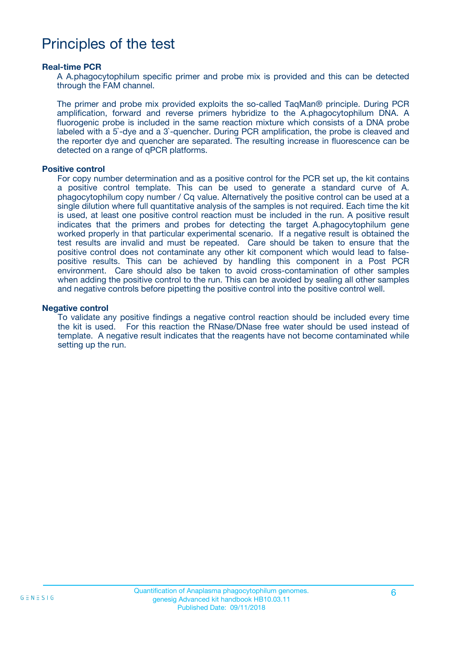### Principles of the test

#### **Real-time PCR**

A A.phagocytophilum specific primer and probe mix is provided and this can be detected through the FAM channel.

The primer and probe mix provided exploits the so-called TaqMan® principle. During PCR amplification, forward and reverse primers hybridize to the A.phagocytophilum DNA. A fluorogenic probe is included in the same reaction mixture which consists of a DNA probe labeled with a 5`-dye and a 3`-quencher. During PCR amplification, the probe is cleaved and the reporter dye and quencher are separated. The resulting increase in fluorescence can be detected on a range of qPCR platforms.

#### **Positive control**

For copy number determination and as a positive control for the PCR set up, the kit contains a positive control template. This can be used to generate a standard curve of A. phagocytophilum copy number / Cq value. Alternatively the positive control can be used at a single dilution where full quantitative analysis of the samples is not required. Each time the kit is used, at least one positive control reaction must be included in the run. A positive result indicates that the primers and probes for detecting the target A.phagocytophilum gene worked properly in that particular experimental scenario. If a negative result is obtained the test results are invalid and must be repeated. Care should be taken to ensure that the positive control does not contaminate any other kit component which would lead to falsepositive results. This can be achieved by handling this component in a Post PCR environment. Care should also be taken to avoid cross-contamination of other samples when adding the positive control to the run. This can be avoided by sealing all other samples and negative controls before pipetting the positive control into the positive control well.

#### **Negative control**

To validate any positive findings a negative control reaction should be included every time the kit is used. For this reaction the RNase/DNase free water should be used instead of template. A negative result indicates that the reagents have not become contaminated while setting up the run.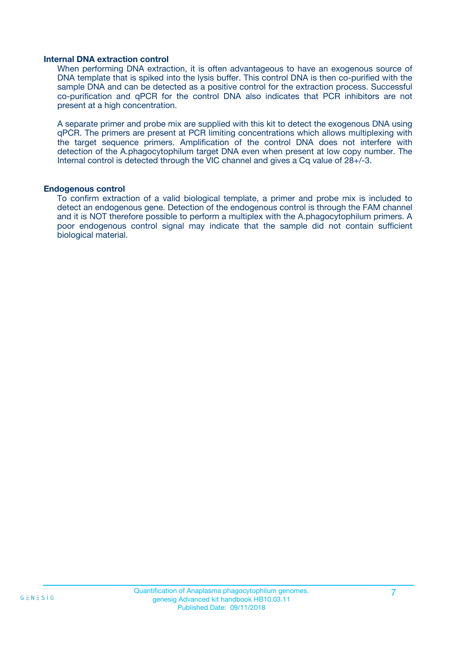#### **Internal DNA extraction control**

When performing DNA extraction, it is often advantageous to have an exogenous source of DNA template that is spiked into the lysis buffer. This control DNA is then co-purified with the sample DNA and can be detected as a positive control for the extraction process. Successful co-purification and qPCR for the control DNA also indicates that PCR inhibitors are not present at a high concentration.

A separate primer and probe mix are supplied with this kit to detect the exogenous DNA using qPCR. The primers are present at PCR limiting concentrations which allows multiplexing with the target sequence primers. Amplification of the control DNA does not interfere with detection of the A.phagocytophilum target DNA even when present at low copy number. The Internal control is detected through the VIC channel and gives a Cq value of 28+/-3.

#### **Endogenous control**

To confirm extraction of a valid biological template, a primer and probe mix is included to detect an endogenous gene. Detection of the endogenous control is through the FAM channel and it is NOT therefore possible to perform a multiplex with the A.phagocytophilum primers. A poor endogenous control signal may indicate that the sample did not contain sufficient biological material.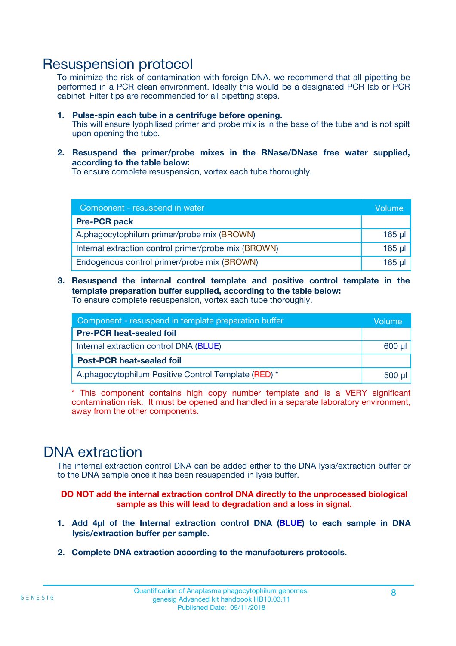### Resuspension protocol

To minimize the risk of contamination with foreign DNA, we recommend that all pipetting be performed in a PCR clean environment. Ideally this would be a designated PCR lab or PCR cabinet. Filter tips are recommended for all pipetting steps.

- **1. Pulse-spin each tube in a centrifuge before opening.** This will ensure lyophilised primer and probe mix is in the base of the tube and is not spilt upon opening the tube.
- **2. Resuspend the primer/probe mixes in the RNase/DNase free water supplied, according to the table below:**

To ensure complete resuspension, vortex each tube thoroughly.

| Component - resuspend in water                       |          |  |
|------------------------------------------------------|----------|--|
| <b>Pre-PCR pack</b>                                  |          |  |
| A.phagocytophilum primer/probe mix (BROWN)           | $165$ µl |  |
| Internal extraction control primer/probe mix (BROWN) | $165$ µl |  |
| Endogenous control primer/probe mix (BROWN)          | 165 µl   |  |

**3. Resuspend the internal control template and positive control template in the template preparation buffer supplied, according to the table below:** To ensure complete resuspension, vortex each tube thoroughly.

| Component - resuspend in template preparation buffer |  |  |  |
|------------------------------------------------------|--|--|--|
| <b>Pre-PCR heat-sealed foil</b>                      |  |  |  |
| Internal extraction control DNA (BLUE)               |  |  |  |
| <b>Post-PCR heat-sealed foil</b>                     |  |  |  |
| A.phagocytophilum Positive Control Template (RED) *  |  |  |  |

\* This component contains high copy number template and is a VERY significant contamination risk. It must be opened and handled in a separate laboratory environment, away from the other components.

### DNA extraction

The internal extraction control DNA can be added either to the DNA lysis/extraction buffer or to the DNA sample once it has been resuspended in lysis buffer.

**DO NOT add the internal extraction control DNA directly to the unprocessed biological sample as this will lead to degradation and a loss in signal.**

- **1. Add 4µl of the Internal extraction control DNA (BLUE) to each sample in DNA lysis/extraction buffer per sample.**
- **2. Complete DNA extraction according to the manufacturers protocols.**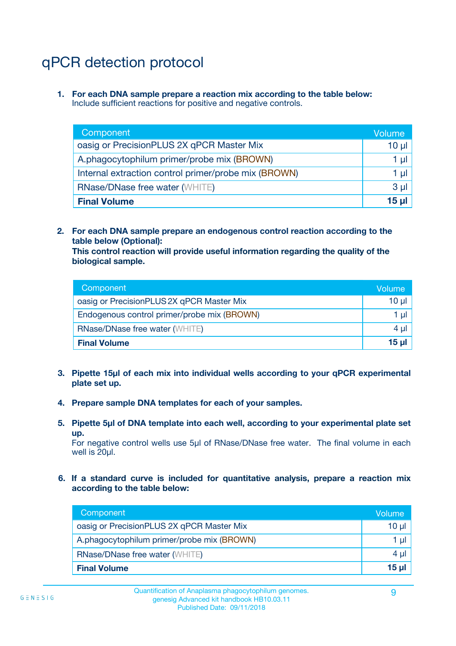# qPCR detection protocol

**1. For each DNA sample prepare a reaction mix according to the table below:** Include sufficient reactions for positive and negative controls.

| Component <sup>1</sup>                               | Volume   |
|------------------------------------------------------|----------|
| oasig or PrecisionPLUS 2X qPCR Master Mix            | $10 \mu$ |
| A.phagocytophilum primer/probe mix (BROWN)           | 1 µI l   |
| Internal extraction control primer/probe mix (BROWN) | 1 µl     |
| <b>RNase/DNase free water (WHITE)</b>                | $3 \mu$  |
| <b>Final Volume</b>                                  | 15 µl    |

**2. For each DNA sample prepare an endogenous control reaction according to the table below (Optional):**

**This control reaction will provide useful information regarding the quality of the biological sample.**

| Component                                   | Volume   |
|---------------------------------------------|----------|
| oasig or PrecisionPLUS 2X qPCR Master Mix   | $10 \mu$ |
| Endogenous control primer/probe mix (BROWN) | 1 µI     |
| <b>RNase/DNase free water (WHITE)</b>       | $4 \mu$  |
| <b>Final Volume</b>                         | 15 µl    |

- **3. Pipette 15µl of each mix into individual wells according to your qPCR experimental plate set up.**
- **4. Prepare sample DNA templates for each of your samples.**
- **5. Pipette 5µl of DNA template into each well, according to your experimental plate set up.**

For negative control wells use 5µl of RNase/DNase free water. The final volume in each well is 20ul.

**6. If a standard curve is included for quantitative analysis, prepare a reaction mix according to the table below:**

| Component                                  | Volume  |
|--------------------------------------------|---------|
| oasig or PrecisionPLUS 2X qPCR Master Mix  | 10 µl   |
| A.phagocytophilum primer/probe mix (BROWN) | 1 µI    |
| <b>RNase/DNase free water (WHITE)</b>      | $4 \mu$ |
| <b>Final Volume</b>                        | 15 µl   |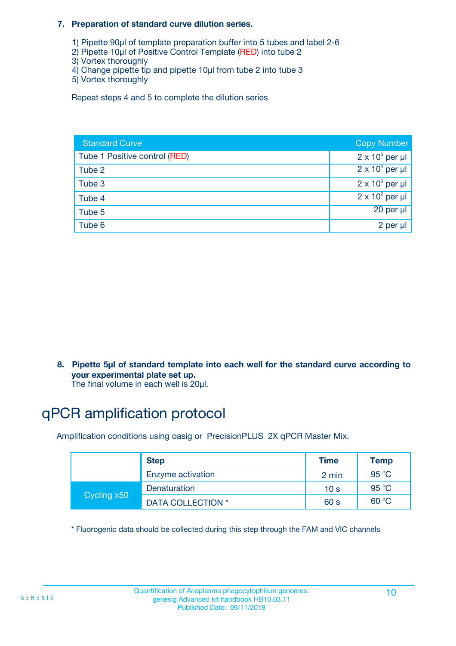#### **7. Preparation of standard curve dilution series.**

- 1) Pipette 90µl of template preparation buffer into 5 tubes and label 2-6
- 2) Pipette 10µl of Positive Control Template (RED) into tube 2
- 3) Vortex thoroughly
- 4) Change pipette tip and pipette 10µl from tube 2 into tube 3
- 5) Vortex thoroughly

Repeat steps 4 and 5 to complete the dilution series

| <b>Standard Curve</b>         | <b>Copy Number</b>     |
|-------------------------------|------------------------|
| Tube 1 Positive control (RED) | $2 \times 10^5$ per µl |
| Tube 2                        | $2 \times 10^4$ per µl |
| Tube 3                        | $2 \times 10^3$ per µl |
| Tube 4                        | $2 \times 10^2$ per µl |
| Tube 5                        | 20 per µl              |
| Tube 6                        | 2 per µl               |

**8. Pipette 5µl of standard template into each well for the standard curve according to your experimental plate set up.**

#### The final volume in each well is 20µl.

# qPCR amplification protocol

Amplification conditions using oasig or PrecisionPLUS 2X qPCR Master Mix.

|             | <b>Step</b>       | <b>Time</b>     | Temp    |
|-------------|-------------------|-----------------|---------|
|             | Enzyme activation | 2 min           | 95 °C   |
| Cycling x50 | Denaturation      | 10 <sub>s</sub> | 95 $°C$ |
|             | DATA COLLECTION * | 60 s            | 60 °C   |

\* Fluorogenic data should be collected during this step through the FAM and VIC channels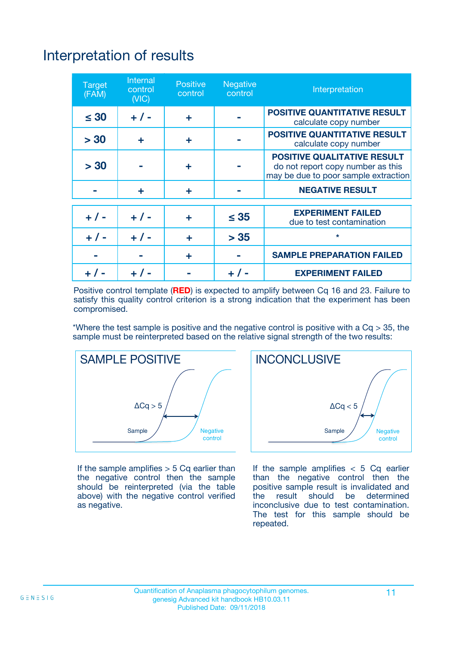# Interpretation of results

| <b>Target</b><br>(FAM) | <b>Internal</b><br>control<br>(NIC) | <b>Positive</b><br>control | <b>Negative</b><br>control | Interpretation                                                                                                  |
|------------------------|-------------------------------------|----------------------------|----------------------------|-----------------------------------------------------------------------------------------------------------------|
| $\leq 30$              | $+ 1 -$                             | ÷                          |                            | <b>POSITIVE QUANTITATIVE RESULT</b><br>calculate copy number                                                    |
| > 30                   | ٠                                   | ÷                          |                            | <b>POSITIVE QUANTITATIVE RESULT</b><br>calculate copy number                                                    |
| > 30                   |                                     | ÷                          |                            | <b>POSITIVE QUALITATIVE RESULT</b><br>do not report copy number as this<br>may be due to poor sample extraction |
|                        | ÷                                   | ÷                          |                            | <b>NEGATIVE RESULT</b>                                                                                          |
| $+ 1 -$                | $+ 1 -$                             | ÷                          | $\leq$ 35                  | <b>EXPERIMENT FAILED</b><br>due to test contamination                                                           |
| $+$ / -                | $+ 1 -$                             | ÷                          | > 35                       | $\star$                                                                                                         |
|                        |                                     | ÷                          |                            | <b>SAMPLE PREPARATION FAILED</b>                                                                                |
|                        |                                     |                            | $+$ /                      | <b>EXPERIMENT FAILED</b>                                                                                        |

Positive control template (**RED**) is expected to amplify between Cq 16 and 23. Failure to satisfy this quality control criterion is a strong indication that the experiment has been compromised.

\*Where the test sample is positive and the negative control is positive with a  $Ca > 35$ , the sample must be reinterpreted based on the relative signal strength of the two results:



If the sample amplifies  $> 5$  Cq earlier than the negative control then the sample should be reinterpreted (via the table above) with the negative control verified as negative.



If the sample amplifies  $< 5$  Cq earlier than the negative control then the positive sample result is invalidated and<br>the result should be determined  $the$  result should be inconclusive due to test contamination. The test for this sample should be repeated.